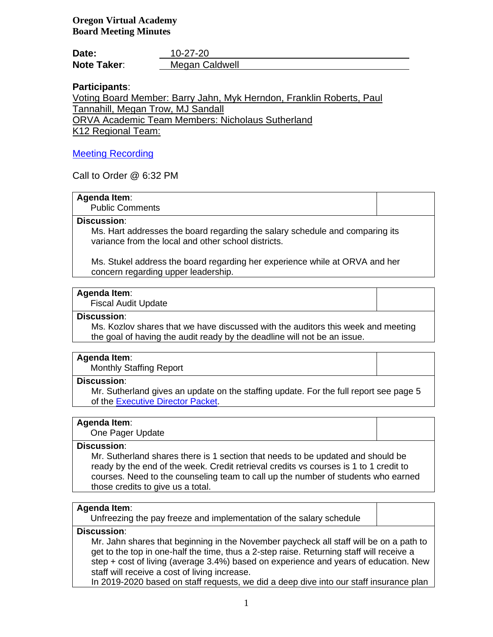**Oregon Virtual Academy Board Meeting Minutes**

| Date:              | 10-27-20       |
|--------------------|----------------|
| <b>Note Taker:</b> | Megan Caldwell |

# **Participants**:

Voting Board Member: Barry Jahn, Myk Herndon, Franklin Roberts, Paul Tannahill, Megan Trow, MJ Sandall ORVA Academic Team Members: Nicholaus Sutherland

K12 Regional Team:

# [Meeting Recording](https://k12inc-my.sharepoint.com/:v:/g/personal/mecaldwell_oregonva_org/ETysV0TpnzFPjF43Bvge_OkBZlieh1czl9vkw93gK-L-Eg?e=magCVl)

Call to Order @ 6:32 PM

# **Agenda Item**:

Public Comments

# **Discussion**:

Ms. Hart addresses the board regarding the salary schedule and comparing its variance from the local and other school districts.

Ms. Stukel address the board regarding her experience while at ORVA and her concern regarding upper leadership.

# **Agenda Item**:

Fiscal Audit Update

#### **Discussion**:

Ms. Kozlov shares that we have discussed with the auditors this week and meeting the goal of having the audit ready by the deadline will not be an issue.

# **Agenda Item**:

Monthly Staffing Report

# **Discussion**:

Mr. Sutherland gives an update on the staffing update. For the full report see page 5 of the [Executive Director Packet.](https://k12inc-my.sharepoint.com/:b:/g/personal/mecaldwell_oregonva_org/EUG0O-5jkKNAjyYv7f7nYYMB4jzYVjS4nLMLQMjdq5lkoQ?e=KyvrCU)

# **Agenda Item**:

One Pager Update

# **Discussion**:

Mr. Sutherland shares there is 1 section that needs to be updated and should be ready by the end of the week. Credit retrieval credits vs courses is 1 to 1 credit to courses. Need to the counseling team to call up the number of students who earned those credits to give us a total.

# **Agenda Item**:

Unfreezing the pay freeze and implementation of the salary schedule

# **Discussion**:

Mr. Jahn shares that beginning in the November paycheck all staff will be on a path to get to the top in one-half the time, thus a 2-step raise. Returning staff will receive a step + cost of living (average 3.4%) based on experience and years of education. New staff will receive a cost of living increase.

In 2019-2020 based on staff requests, we did a deep dive into our staff insurance plan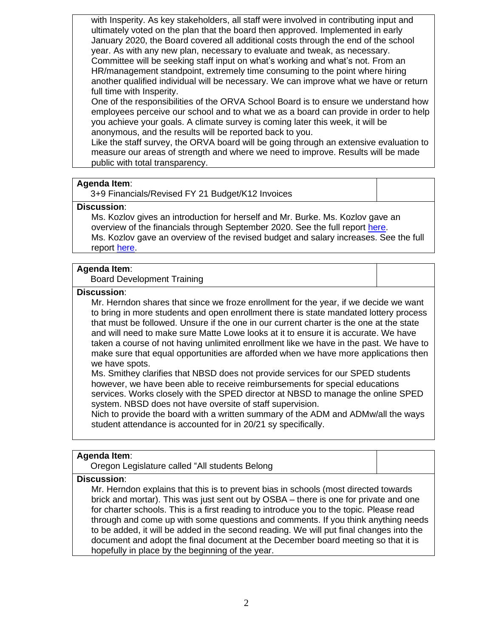with Insperity. As key stakeholders, all staff were involved in contributing input and ultimately voted on the plan that the board then approved. Implemented in early January 2020, the Board covered all additional costs through the end of the school year. As with any new plan, necessary to evaluate and tweak, as necessary. Committee will be seeking staff input on what's working and what's not. From an HR/management standpoint, extremely time consuming to the point where hiring another qualified individual will be necessary. We can improve what we have or return full time with Insperity.

One of the responsibilities of the ORVA School Board is to ensure we understand how employees perceive our school and to what we as a board can provide in order to help you achieve your goals. A climate survey is coming later this week, it will be anonymous, and the results will be reported back to you.

Like the staff survey, the ORVA board will be going through an extensive evaluation to measure our areas of strength and where we need to improve. Results will be made public with total transparency.

# **Agenda Item**:

3+9 Financials/Revised FY 21 Budget/K12 Invoices

# **Discussion**:

Ms. Kozlov gives an introduction for herself and Mr. Burke. Ms. Kozlov gave an overview of the financials through September 2020. See the full report [here.](https://k12inc-my.sharepoint.com/:p:/g/personal/mecaldwell_oregonva_org/EQviMJBfCIxAtg8mvUix5d8BI3bDXlmE9ZgQtvucZspAsQ?e=xKrkA5) Ms. Kozlov gave an overview of the revised budget and salary increases. See the full report [here.](https://k12inc-my.sharepoint.com/:p:/g/personal/mecaldwell_oregonva_org/ES7a6onu0nxBvMPm2ZNue6sBTdMmjGTOJH4NpwNmosh3LA?e=0DlW0l)

# **Agenda Item**:

Board Development Training

#### **Discussion**:

Mr. Herndon shares that since we froze enrollment for the year, if we decide we want to bring in more students and open enrollment there is state mandated lottery process that must be followed. Unsure if the one in our current charter is the one at the state and will need to make sure Matte Lowe looks at it to ensure it is accurate. We have taken a course of not having unlimited enrollment like we have in the past. We have to make sure that equal opportunities are afforded when we have more applications then we have spots.

Ms. Smithey clarifies that NBSD does not provide services for our SPED students however, we have been able to receive reimbursements for special educations services. Works closely with the SPED director at NBSD to manage the online SPED system. NBSD does not have oversite of staff supervision.

Nich to provide the board with a written summary of the ADM and ADMw/all the ways student attendance is accounted for in 20/21 sy specifically.

# **Agenda Item**:

Oregon Legislature called "All students Belong

# **Discussion**:

Mr. Herndon explains that this is to prevent bias in schools (most directed towards brick and mortar). This was just sent out by OSBA – there is one for private and one for charter schools. This is a first reading to introduce you to the topic. Please read through and come up with some questions and comments. If you think anything needs to be added, it will be added in the second reading. We will put final changes into the document and adopt the final document at the December board meeting so that it is hopefully in place by the beginning of the year.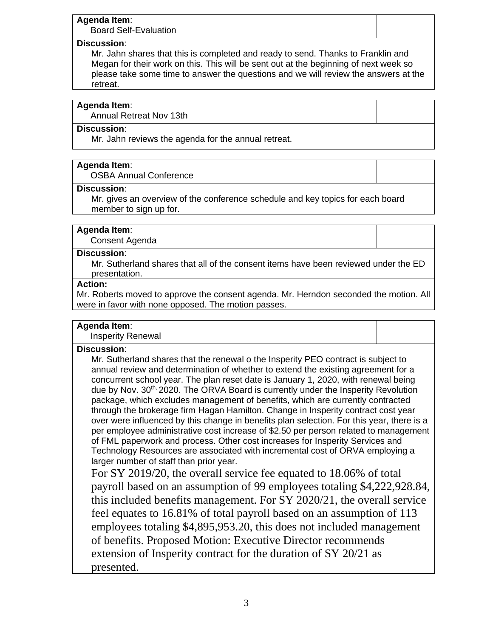# **Agenda Item**:

Board Self-Evaluation

# **Discussion**:

Mr. Jahn shares that this is completed and ready to send. Thanks to Franklin and Megan for their work on this. This will be sent out at the beginning of next week so please take some time to answer the questions and we will review the answers at the retreat.

# **Agenda Item**:

Annual Retreat Nov 13th

# **Discussion**:

Mr. Jahn reviews the agenda for the annual retreat.

# **Agenda Item**:

OSBA Annual Conference

# **Discussion**:

Mr. gives an overview of the conference schedule and key topics for each board member to sign up for.

# **Agenda Item**:

Consent Agenda

# **Discussion**:

Mr. Sutherland shares that all of the consent items have been reviewed under the ED presentation.

# **Action:**

Mr. Roberts moved to approve the consent agenda. Mr. Herndon seconded the motion. All were in favor with none opposed. The motion passes.

# **Agenda Item**:

Insperity Renewal

# **Discussion**:

Mr. Sutherland shares that the renewal o the Insperity PEO contract is subject to annual review and determination of whether to extend the existing agreement for a concurrent school year. The plan reset date is January 1, 2020, with renewal being due by Nov.  $30<sup>th</sup>$  2020. The ORVA Board is currently under the Insperity Revolution package, which excludes management of benefits, which are currently contracted through the brokerage firm Hagan Hamilton. Change in Insperity contract cost year over were influenced by this change in benefits plan selection. For this year, there is a per employee administrative cost increase of \$2.50 per person related to management of FML paperwork and process. Other cost increases for Insperity Services and Technology Resources are associated with incremental cost of ORVA employing a larger number of staff than prior year.

For SY 2019/20, the overall service fee equated to 18.06% of total payroll based on an assumption of 99 employees totaling \$4,222,928.84, this included benefits management. For SY 2020/21, the overall service feel equates to 16.81% of total payroll based on an assumption of 113 employees totaling \$4,895,953.20, this does not included management of benefits. Proposed Motion: Executive Director recommends extension of Insperity contract for the duration of SY 20/21 as presented.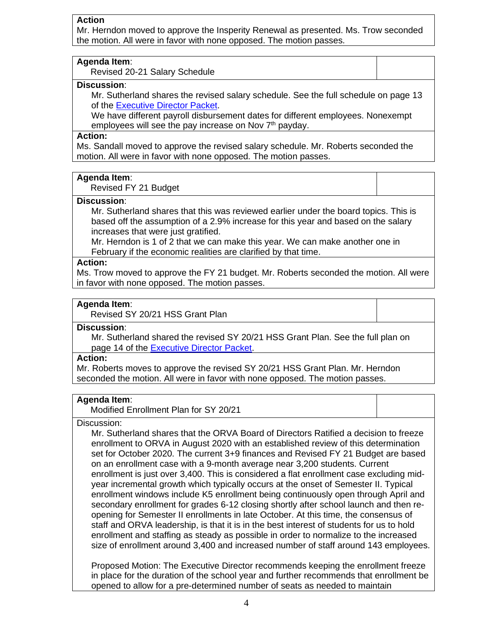### **Action**

Mr. Herndon moved to approve the Insperity Renewal as presented. Ms. Trow seconded the motion. All were in favor with none opposed. The motion passes.

#### **Agenda Item**:

Revised 20-21 Salary Schedule

# **Discussion**:

Mr. Sutherland shares the revised salary schedule. See the full schedule on page 13 of the [Executive Director Packet.](https://k12inc-my.sharepoint.com/:b:/g/personal/mecaldwell_oregonva_org/EUG0O-5jkKNAjyYv7f7nYYMB4jzYVjS4nLMLQMjdq5lkoQ?e=emFjth)

We have different payroll disbursement dates for different employees. Nonexempt employees will see the pay increase on Nov  $7<sup>th</sup>$  payday.

#### **Action:**

Ms. Sandall moved to approve the revised salary schedule. Mr. Roberts seconded the motion. All were in favor with none opposed. The motion passes.

#### **Agenda Item**:

Revised FY 21 Budget

#### **Discussion**:

Mr. Sutherland shares that this was reviewed earlier under the board topics. This is based off the assumption of a 2.9% increase for this year and based on the salary increases that were just gratified.

Mr. Herndon is 1 of 2 that we can make this year. We can make another one in February if the economic realities are clarified by that time.

# **Action:**

Ms. Trow moved to approve the FY 21 budget. Mr. Roberts seconded the motion. All were in favor with none opposed. The motion passes.

# **Agenda Item**:

Revised SY 20/21 HSS Grant Plan

### **Discussion**:

Mr. Sutherland shared the revised SY 20/21 HSS Grant Plan. See the full plan on page 14 of the [Executive Director Packet.](https://k12inc-my.sharepoint.com/:b:/g/personal/mecaldwell_oregonva_org/EUG0O-5jkKNAjyYv7f7nYYMB4jzYVjS4nLMLQMjdq5lkoQ?e=emFjth)

#### **Action:**

Mr. Roberts moves to approve the revised SY 20/21 HSS Grant Plan. Mr. Herndon seconded the motion. All were in favor with none opposed. The motion passes.

# **Agenda Item**:

Modified Enrollment Plan for SY 20/21

#### Discussion:

Mr. Sutherland shares that the ORVA Board of Directors Ratified a decision to freeze enrollment to ORVA in August 2020 with an established review of this determination set for October 2020. The current 3+9 finances and Revised FY 21 Budget are based on an enrollment case with a 9-month average near 3,200 students. Current enrollment is just over 3,400. This is considered a flat enrollment case excluding midyear incremental growth which typically occurs at the onset of Semester II. Typical enrollment windows include K5 enrollment being continuously open through April and secondary enrollment for grades 6-12 closing shortly after school launch and then reopening for Semester II enrollments in late October. At this time, the consensus of staff and ORVA leadership, is that it is in the best interest of students for us to hold enrollment and staffing as steady as possible in order to normalize to the increased size of enrollment around 3,400 and increased number of staff around 143 employees.

Proposed Motion: The Executive Director recommends keeping the enrollment freeze in place for the duration of the school year and further recommends that enrollment be opened to allow for a pre-determined number of seats as needed to maintain